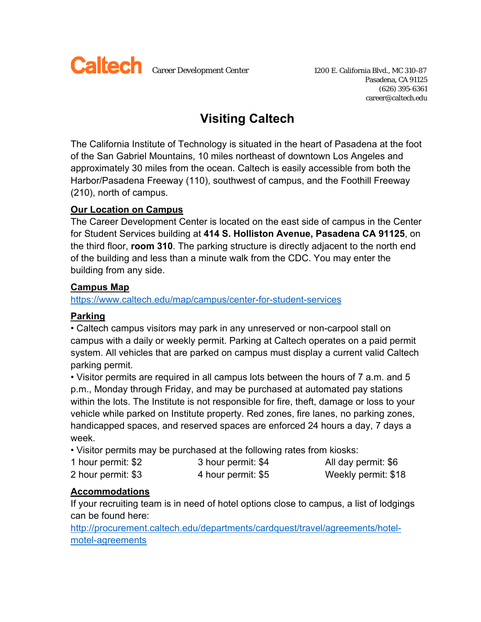

Pasadena, CA 91125 (626) 395-6361 career@caltech.edu

# **Visiting Caltech**

The California Institute of Technology is situated in the heart of Pasadena at the foot of the San Gabriel Mountains, 10 miles northeast of downtown Los Angeles and approximately 30 miles from the ocean. Caltech is easily accessible from both the Harbor/Pasadena Freeway (110), southwest of campus, and the Foothill Freeway (210), north of campus.

### **Our Location on Campus**

The Career Development Center is located on the east side of campus in the Center for Student Services building at **414 S. Holliston Avenue, Pasadena CA 91125**, on the third floor, **room 310**. The parking structure is directly adjacent to the north end of the building and less than a minute walk from the CDC. You may enter the building from any side.

#### **Campus Map**

#### https://www.caltech.edu/map/campus/center-for-student-services

## **Parking**

• Caltech campus visitors may park in any unreserved or non-carpool stall on campus with a daily or weekly permit. Parking at Caltech operates on a paid permit system. All vehicles that are parked on campus must display a current valid Caltech parking permit.

• Visitor permits are required in all campus lots between the hours of 7 a.m. and 5 p.m., Monday through Friday, and may be purchased at automated pay stations within the lots. The Institute is not responsible for fire, theft, damage or loss to your vehicle while parked on Institute property. Red zones, fire lanes, no parking zones, handicapped spaces, and reserved spaces are enforced 24 hours a day, 7 days a week.

• Visitor permits may be purchased at the following rates from kiosks:

| 1 hour permit: \$2 | 3 hour permit: \$4 | All day permit: \$6 |
|--------------------|--------------------|---------------------|
| 2 hour permit: \$3 | 4 hour permit: \$5 | Weekly permit: \$18 |

## **Accommodations**

If your recruiting team is in need of hotel options close to campus, a list of lodgings can be found here:

http://procurement.caltech.edu/departments/cardquest/travel/agreements/hotelmotel-agreements